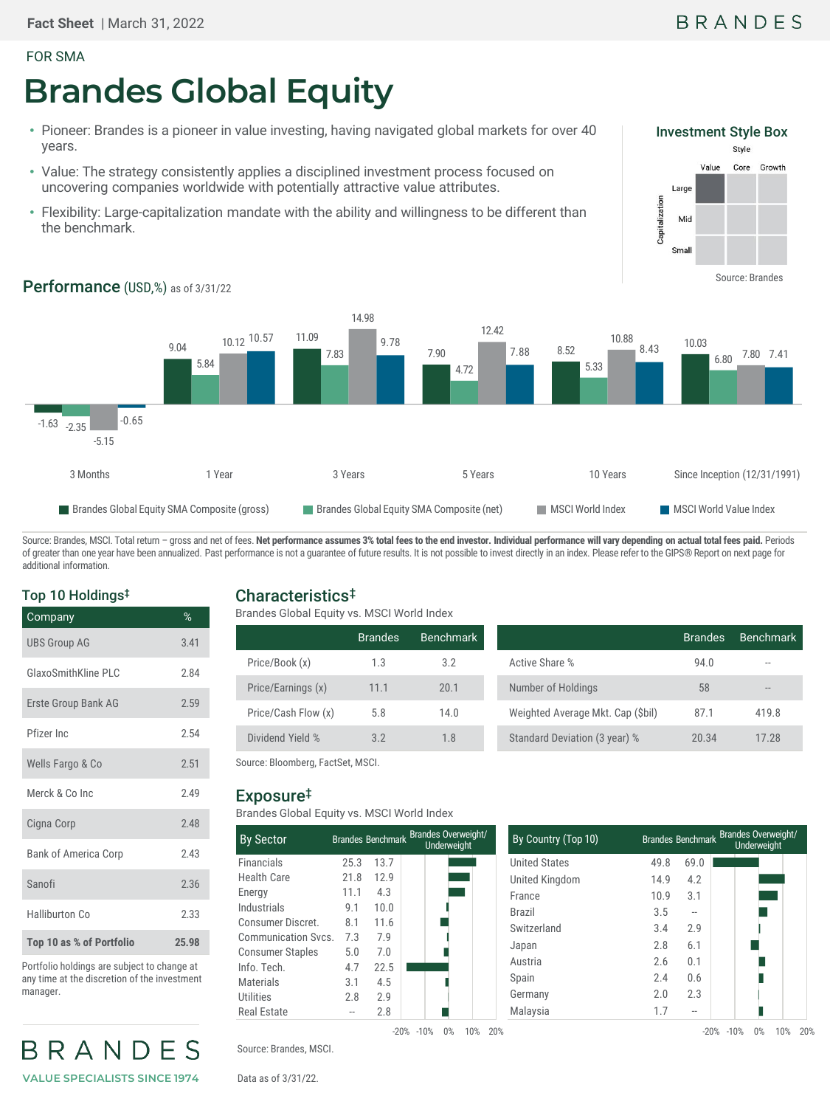#### FOR SMA

# **Brandes Global Equity**

- Pioneer: Brandes is a pioneer in value investing, having navigated global markets for over 40 years.
- Value: The strategy consistently applies a disciplined investment process focused on uncovering companies worldwide with potentially attractive value attributes.
- Flexibility: Large-capitalization mandate with the ability and willingness to be different than the benchmark.



## Performance (USD,%) as of 3/31/22



Source: Brandes, MSCI. Total return - gross and net of fees. Net performance assumes 3% total fees to the end investor. Individual performance will vary depending on actual total fees paid. Periods of greater than one year have been annualized. Past performance is not a guarantee of future results. It is not possible to invest directly in an index. Please refer to the GIPS® Report on next page for additional information.

#### Top 10 Holdings‡

| Company                     | %     |
|-----------------------------|-------|
| <b>UBS Group AG</b>         | 3.41  |
| <b>GlaxoSmithKline PLC</b>  | 2.84  |
| Erste Group Bank AG         | 2.59  |
| Pfizer Inc.                 | 2.54  |
| Wells Fargo & Co            | 2.51  |
| Merck & Co Inc              | 2.49  |
| Cigna Corp                  | 2.48  |
| <b>Bank of America Corp</b> | 2.43  |
| Sanofi                      | 2.36  |
| <b>Halliburton Co</b>       | 2.33  |
| Top 10 as % of Portfolio    | 25.98 |

Portfolio holdings are subject to change at any time at the discretion of the investment manager.



### Characteristics‡

Brandes Global Equity vs. MSCI World Index

|                     | <b>Brandes</b> | Benchmark |                                  | <b>Brandes</b> | Benchmark |
|---------------------|----------------|-----------|----------------------------------|----------------|-----------|
| Price/Book (x)      | 1.3            | 3.2       | Active Share %                   | 94.0           |           |
| Price/Earnings (x)  | 11.1           | 20.1      | Number of Holdings               | 58             | $-1$      |
| Price/Cash Flow (x) | 5.8            | 14.0      | Weighted Average Mkt. Cap (Sbil) | 87.1           | 419.8     |
| Dividend Yield %    | 3.2            | 1.8       | Standard Deviation (3 year) %    | 20.34          | 17.28     |
|                     |                |           |                                  |                |           |

Source: Bloomberg, FactSet, MSCI.

#### Exposure‡

Brandes Global Equity vs. MSCI World Index

| <b>By Sector</b>        |                                   |      | Brandes Benchmark Brandes Overweight/<br>Underweight |  |  |  |
|-------------------------|-----------------------------------|------|------------------------------------------------------|--|--|--|
| <b>Financials</b>       | 25.3                              | 13.7 |                                                      |  |  |  |
| <b>Health Care</b>      | 21.8                              | 12.9 |                                                      |  |  |  |
| Energy                  | 11.1                              | 4.3  |                                                      |  |  |  |
| Industrials             | 9.1                               | 10.0 |                                                      |  |  |  |
| Consumer Discret.       | 8.1                               | 11.6 |                                                      |  |  |  |
| Communication Sycs.     | 7.3                               | 7.9  |                                                      |  |  |  |
| <b>Consumer Staples</b> | 5.0                               | 7.0  |                                                      |  |  |  |
| Info. Tech.             | 4.7                               | 22.5 |                                                      |  |  |  |
| Materials               | 3.1                               | 4.5  |                                                      |  |  |  |
| Utilities               | 2.8                               | 2.9  |                                                      |  |  |  |
| Real Estate             |                                   | 2.8  |                                                      |  |  |  |
|                         | 0%<br>10%<br>$-20\% -10\%$<br>20% |      |                                                      |  |  |  |

| By Country (Top 10)  |      |      | Brandes Benchmark Brandes Overweight/<br>Underweight |
|----------------------|------|------|------------------------------------------------------|
| <b>United States</b> | 49.8 | 69.0 |                                                      |
| United Kingdom       | 14.9 | 4.2  |                                                      |
| France               | 10.9 | 3.1  |                                                      |
| <b>Brazil</b>        | 3.5  | --   |                                                      |
| Switzerland          | 3.4  | 2.9  |                                                      |
| Japan                | 2.8  | 6.1  |                                                      |
| Austria              | 2.6  | 0.1  |                                                      |
| Spain                | 2.4  | 0.6  |                                                      |
| Germany              | 2.0  | 2.3  |                                                      |
| Malaysia             | 1.7  | --   |                                                      |

Source: Brandes, MSCI.

Data as of 3/31/22.